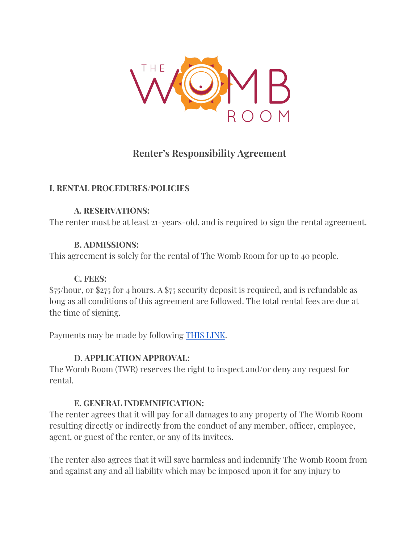

# **Renter's Responsibility Agreement**

#### **I. RENTAL PROCEDURES/POLICIES**

#### **A. RESERVATIONS:**

The renter must be at least 21-years-old, and is required to sign the rental agreement.

#### **B. ADMISSIONS:**

This agreement is solely for the rental of The Womb Room for up to 40 people.

#### **C. FEES:**

\$75/hour, or \$275 for 4 hours. A \$75 security deposit is required, and is refundable as long as all conditions of this agreement are followed. The total rental fees are due at the time of signing.

Payments may be made by following THIS [LINK](https://thewombroom.tulasoftware.com/external_form?c1=ffffff&c2=339933&c3=333333&c4=666666&m=Studio%20Rental%20Payment&p[]=88333&p[]=88334&p[]=88335&p[]=88336&p[]=88337&p[]=88376&p[]=88377&p[]=88378&p[]=88375).

### **D. APPLICATION APPROVAL:**

The Womb Room (TWR) reserves the right to inspect and/or deny any request for rental.

### **E. GENERAL INDEMNIFICATION:**

The renter agrees that it will pay for all damages to any property of The Womb Room resulting directly or indirectly from the conduct of any member, officer, employee, agent, or guest of the renter, or any of its invitees.

The renter also agrees that it will save harmless and indemnify The Womb Room from and against any and all liability which may be imposed upon it for any injury to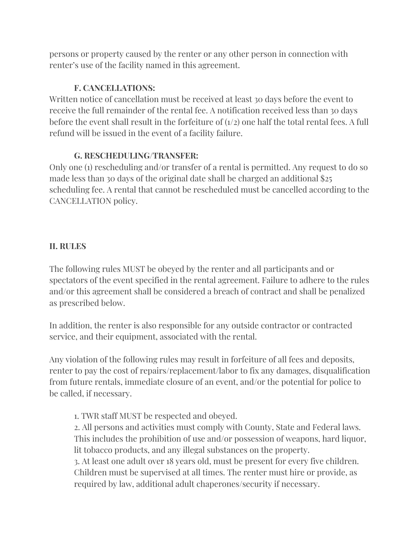persons or property caused by the renter or any other person in connection with renter's use of the facility named in this agreement.

## **F. CANCELLATIONS:**

Written notice of cancellation must be received at least 30 days before the event to receive the full remainder of the rental fee. A notification received less than 30 days before the event shall result in the forfeiture of  $(1/2)$  one half the total rental fees. A full refund will be issued in the event of a facility failure.

### **G. RESCHEDULING/TRANSFER:**

Only one (1) rescheduling and/or transfer of a rental is permitted. Any request to do so made less than 30 days of the original date shall be charged an additional \$25 scheduling fee. A rental that cannot be rescheduled must be cancelled according to the CANCELLATION policy.

### **II. RULES**

The following rules MUST be obeyed by the renter and all participants and or spectators of the event specified in the rental agreement. Failure to adhere to the rules and/or this agreement shall be considered a breach of contract and shall be penalized as prescribed below.

In addition, the renter is also responsible for any outside contractor or contracted service, and their equipment, associated with the rental.

Any violation of the following rules may result in forfeiture of all fees and deposits, renter to pay the cost of repairs/replacement/labor to fix any damages, disqualification from future rentals, immediate closure of an event, and/or the potential for police to be called, if necessary.

1. TWR staff MUST be respected and obeyed.

2. All persons and activities must comply with County, State and Federal laws. This includes the prohibition of use and/or possession of weapons, hard liquor, lit tobacco products, and any illegal substances on the property.

3. At least one adult over 18 years old, must be present for every five children. Children must be supervised at all times. The renter must hire or provide, as required by law, additional adult chaperones/security if necessary.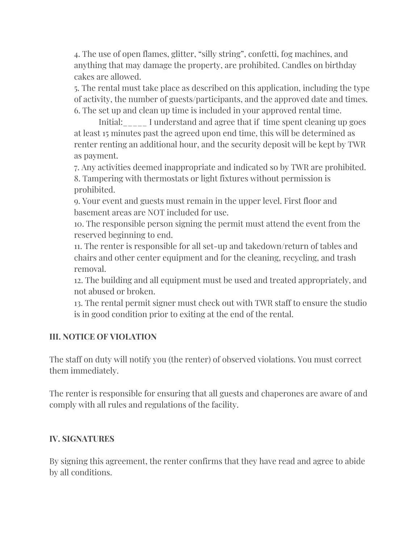4. The use of open flames, glitter, "silly string", confetti, fog machines, and anything that may damage the property, are prohibited. Candles on birthday cakes are allowed.

5. The rental must take place as described on this application, including the type of activity, the number of guests/participants, and the approved date and times. 6. The set up and clean up time is included in your approved rental time.

Initial:\_\_\_\_\_ I understand and agree that if time spent cleaning up goes at least 15 minutes past the agreed upon end time, this will be determined as renter renting an additional hour, and the security deposit will be kept by TWR as payment.

7. Any activities deemed inappropriate and indicated so by TWR are prohibited. 8. Tampering with thermostats or light fixtures without permission is prohibited.

9. Your event and guests must remain in the upper level. First floor and basement areas are NOT included for use.

10. The responsible person signing the permit must attend the event from the reserved beginning to end.

11. The renter is responsible for all set-up and takedown/return of tables and chairs and other center equipment and for the cleaning, recycling, and trash removal.

12. The building and all equipment must be used and treated appropriately, and not abused or broken.

13. The rental permit signer must check out with TWR staff to ensure the studio is in good condition prior to exiting at the end of the rental.

#### **III. NOTICE OF VIOLATION**

The staff on duty will notify you (the renter) of observed violations. You must correct them immediately.

The renter is responsible for ensuring that all guests and chaperones are aware of and comply with all rules and regulations of the facility.

#### **IV. SIGNATURES**

By signing this agreement, the renter confirms that they have read and agree to abide by all conditions.